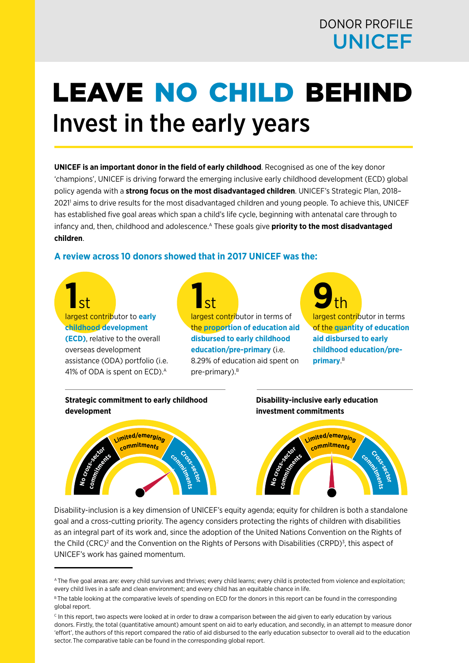# DONOR PROFILE UNICEF

# LEAVE NO CHILD BEHIND Invest in the early years

**UNICEF is an important donor in the field of early childhood**. Recognised as one of the key donor 'champions', UNICEF is driving forward the emerging inclusive early childhood development (ECD) global policy agenda with a **strong focus on the most disadvantaged children**. UNICEF's Strategic Plan, 2018– 20211 aims to drive results for the most disadvantaged children and young people. To achieve this, UNICEF has established five goal areas which span a child's life cycle, beginning with antenatal care through to infancy and, then, childhood and adolescence.<sup>A</sup> These goals give **priority to the most disadvantaged children**.

# **A review across 10 donors showed that in 2017 UNICEF was the:**

**1St largest contributor to early childhood development (ECD)**, relative to the overall overseas development assistance (ODA) portfolio (i.e. 41% of ODA is spent on ECD).<sup>A</sup>

**1St**<br> **1largest contri**butor in terms of the **proportion of education aid disbursed to early childhood education/pre-primary** (i.e. 8.29% of education aid spent on pre-primary).<sup>B</sup>

**9**<br> **1 Internal contributor** in terms of the **quantity of education aid disbursed to early childhood education/preprimary**. B

**Strategic commitment to early childhood development**



## **Disability-inclusive early education investment commitments**



Disability-inclusion is a key dimension of UNICEF's equity agenda; equity for children is both a standalone goal and a cross-cutting priority. The agency considers protecting the rights of children with disabilities as an integral part of its work and, since the adoption of the United Nations Convention on the Rights of the Child (CRC)<sup>2</sup> and the Convention on the Rights of Persons with Disabilities (CRPD)<sup>3</sup>, this aspect of UNICEF's work has gained momentum.

A The five goal areas are: every child survives and thrives; every child learns; every child is protected from violence and exploitation; every child lives in a safe and clean environment; and every child has an equitable chance in life.

B The table looking at the comparative levels of spending on ECD for the donors in this report can be found in the corresponding global report.

<sup>&</sup>lt;sup>c</sup> In this report, two aspects were looked at in order to draw a comparison between the aid given to early education by various donors. Firstly, the total (quantitative amount) amount spent on aid to early education, and secondly, in an attempt to measure donor 'effort', the authors of this report compared the ratio of aid disbursed to the early education subsector to overall aid to the education sector. The comparative table can be found in the corresponding global report.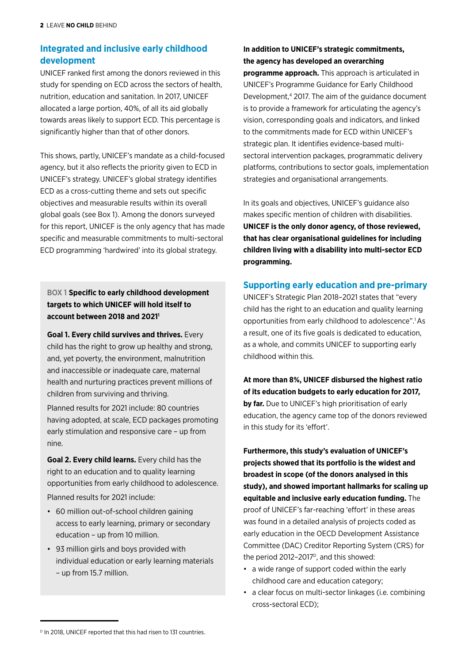# **Integrated and inclusive early childhood development**

UNICEF ranked first among the donors reviewed in this study for spending on ECD across the sectors of health, nutrition, education and sanitation. In 2017, UNICEF allocated a large portion, 40%, of all its aid globally towards areas likely to support ECD. This percentage is significantly higher than that of other donors.

This shows, partly, UNICEF's mandate as a child-focused agency, but it also reflects the priority given to ECD in UNICEF's strategy. UNICEF's global strategy identifies ECD as a cross-cutting theme and sets out specific objectives and measurable results within its overall global goals (see Box 1). Among the donors surveyed for this report, UNICEF is the only agency that has made specific and measurable commitments to multi-sectoral ECD programming 'hardwired' into its global strategy.

BOX 1 **Specific to early childhood development targets to which UNICEF will hold itself to account between 2018 and 20211**

**Goal 1. Every child survives and thrives.** Every child has the right to grow up healthy and strong, and, yet poverty, the environment, malnutrition and inaccessible or inadequate care, maternal health and nurturing practices prevent millions of children from surviving and thriving.

Planned results for 2021 include: 80 countries having adopted, at scale, ECD packages promoting early stimulation and responsive care – up from nine.

**Goal 2. Every child learns.** Every child has the right to an education and to quality learning opportunities from early childhood to adolescence.

Planned results for 2021 include:

- 60 million out-of-school children gaining access to early learning, primary or secondary education – up from 10 million.
- 93 million girls and boys provided with individual education or early learning materials – up from 15.7 million.

# **In addition to UNICEF's strategic commitments, the agency has developed an overarching**

**programme approach.** This approach is articulated in UNICEF's Programme Guidance for Early Childhood Development,4 2017. The aim of the guidance document is to provide a framework for articulating the agency's vision, corresponding goals and indicators, and linked to the commitments made for ECD within UNICEF's strategic plan. It identifies evidence-based multisectoral intervention packages, programmatic delivery platforms, contributions to sector goals, implementation strategies and organisational arrangements.

In its goals and objectives, UNICEF's guidance also makes specific mention of children with disabilities. **UNICEF is the only donor agency, of those reviewed, that has clear organisational guidelines for including children living with a disability into multi-sector ECD programming.**

# **Supporting early education and pre-primary**

UNICEF's Strategic Plan 2018–2021 states that "every child has the right to an education and quality learning opportunities from early childhood to adolescence".1 As a result, one of its five goals is dedicated to education, as a whole, and commits UNICEF to supporting early childhood within this.

**At more than 8%, UNICEF disbursed the highest ratio of its education budgets to early education for 2017, by far.** Due to UNICEF's high prioritisation of early education, the agency came top of the donors reviewed in this study for its 'effort'.

**Furthermore, this study's evaluation of UNICEF's projects showed that its portfolio is the widest and broadest in scope (of the donors analysed in this study), and showed important hallmarks for scaling up equitable and inclusive early education funding.** The proof of UNICEF's far-reaching 'effort' in these areas was found in a detailed analysis of projects coded as early education in the OECD Development Assistance Committee (DAC) Creditor Reporting System (CRS) for the period 2012–2017 $P$ , and this showed:

- a wide range of support coded within the early childhood care and education category;
- a clear focus on multi-sector linkages (i.e. combining cross-sectoral ECD);

<sup>&</sup>lt;sup>D</sup> In 2018, UNICEF reported that this had risen to 131 countries.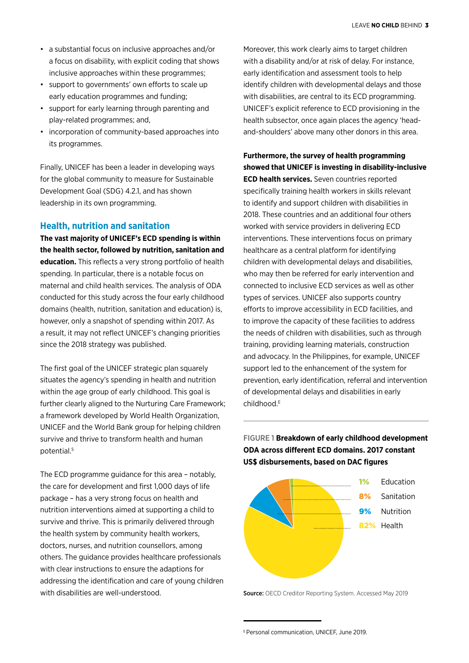- a substantial focus on inclusive approaches and/or a focus on disability, with explicit coding that shows inclusive approaches within these programmes;
- support to governments' own efforts to scale up early education programmes and funding;
- support for early learning through parenting and play-related programmes; and,
- incorporation of community-based approaches into its programmes.

Finally, UNICEF has been a leader in developing ways for the global community to measure for Sustainable Development Goal (SDG) 4.2.1, and has shown leadership in its own programming.

#### **Health, nutrition and sanitation**

**The vast majority of UNICEF's ECD spending is within the health sector, followed by nutrition, sanitation and education.** This reflects a very strong portfolio of health spending. In particular, there is a notable focus on maternal and child health services. The analysis of ODA conducted for this study across the four early childhood domains (health, nutrition, sanitation and education) is, however, only a snapshot of spending within 2017. As a result, it may not reflect UNICEF's changing priorities since the 2018 strategy was published.

The first goal of the UNICEF strategic plan squarely situates the agency's spending in health and nutrition within the age group of early childhood. This goal is further clearly aligned to the Nurturing Care Framework; a framework developed by World Health Organization, UNICEF and the World Bank group for helping children survive and thrive to transform health and human potential.5

The ECD programme guidance for this area – notably, the care for development and first 1,000 days of life package – has a very strong focus on health and nutrition interventions aimed at supporting a child to survive and thrive. This is primarily delivered through the health system by community health workers, doctors, nurses, and nutrition counsellors, among others. The guidance provides healthcare professionals with clear instructions to ensure the adaptions for addressing the identification and care of young children with disabilities are well-understood.

Moreover, this work clearly aims to target children with a disability and/or at risk of delay. For instance, early identification and assessment tools to help identify children with developmental delays and those with disabilities, are central to its ECD programming. UNICEF's explicit reference to ECD provisioning in the health subsector, once again places the agency 'headand-shoulders' above many other donors in this area.

# **Furthermore, the survey of health programming showed that UNICEF is investing in disability-inclusive ECD health services.** Seven countries reported specifically training health workers in skills relevant to identify and support children with disabilities in 2018. These countries and an additional four others worked with service providers in delivering ECD interventions. These interventions focus on primary healthcare as a central platform for identifying children with developmental delays and disabilities, who may then be referred for early intervention and connected to inclusive ECD services as well as other types of services. UNICEF also supports country efforts to improve accessibility in ECD facilities, and to improve the capacity of these facilities to address the needs of children with disabilities, such as through training, providing learning materials, construction and advocacy. In the Philippines, for example, UNICEF support led to the enhancement of the system for prevention, early identification, referral and intervention of developmental delays and disabilities in early childhood.E

# FIGURE 1 **Breakdown of early childhood development ODA across different ECD domains. 2017 constant US\$ disbursements, based on DAC figures**



Source: OECD Creditor Reporting System. Accessed May 2019

E Personal communication, UNICEF, June 2019.